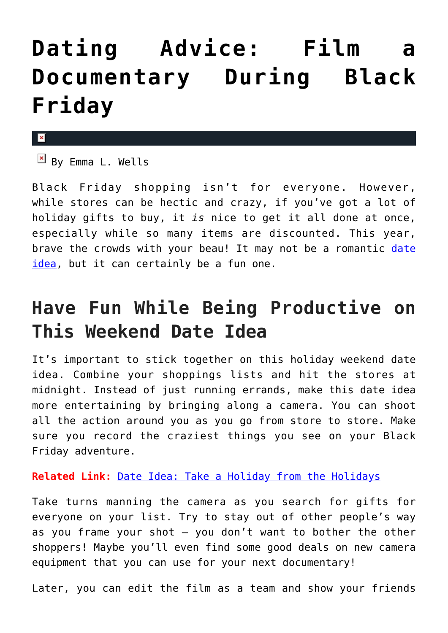## **[Dating Advice: Film a](https://cupidspulse.com/91876/dating-advice-black-friday-shopping-documentary/) [Documentary During Black](https://cupidspulse.com/91876/dating-advice-black-friday-shopping-documentary/) [Friday](https://cupidspulse.com/91876/dating-advice-black-friday-shopping-documentary/)**

×

 $\overline{B}$  By Emma L. Wells

Black Friday shopping isn't for everyone. However, while stores can be hectic and crazy, if you've got a lot of holiday gifts to buy, it *is* nice to get it all done at once, especially while so many items are discounted. This year, brave the crowds with your beau! It may not be a romantic [date](http://cupidspulse.com/relationship-experts/) [idea](http://cupidspulse.com/relationship-experts/), but it can certainly be a fun one.

## **Have Fun While Being Productive on This Weekend Date Idea**

It's important to stick together on this holiday weekend date idea. Combine your shoppings lists and hit the stores at midnight. Instead of just running errands, make this date idea more entertaining by bringing along a camera. You can shoot all the action around you as you go from store to store. Make sure you record the craziest things you see on your Black Friday adventure.

**Related Link:** [Date Idea: Take a Holiday from the Holidays](http://cupidspulse.com/75816/romantic-date-idea-holiday-from-holidays/)

Take turns manning the camera as you search for gifts for everyone on your list. Try to stay out of other people's way as you frame your shot — you don't want to bother the other shoppers! Maybe you'll even find some good deals on new camera equipment that you can use for your next documentary!

Later, you can edit the film as a team and show your friends